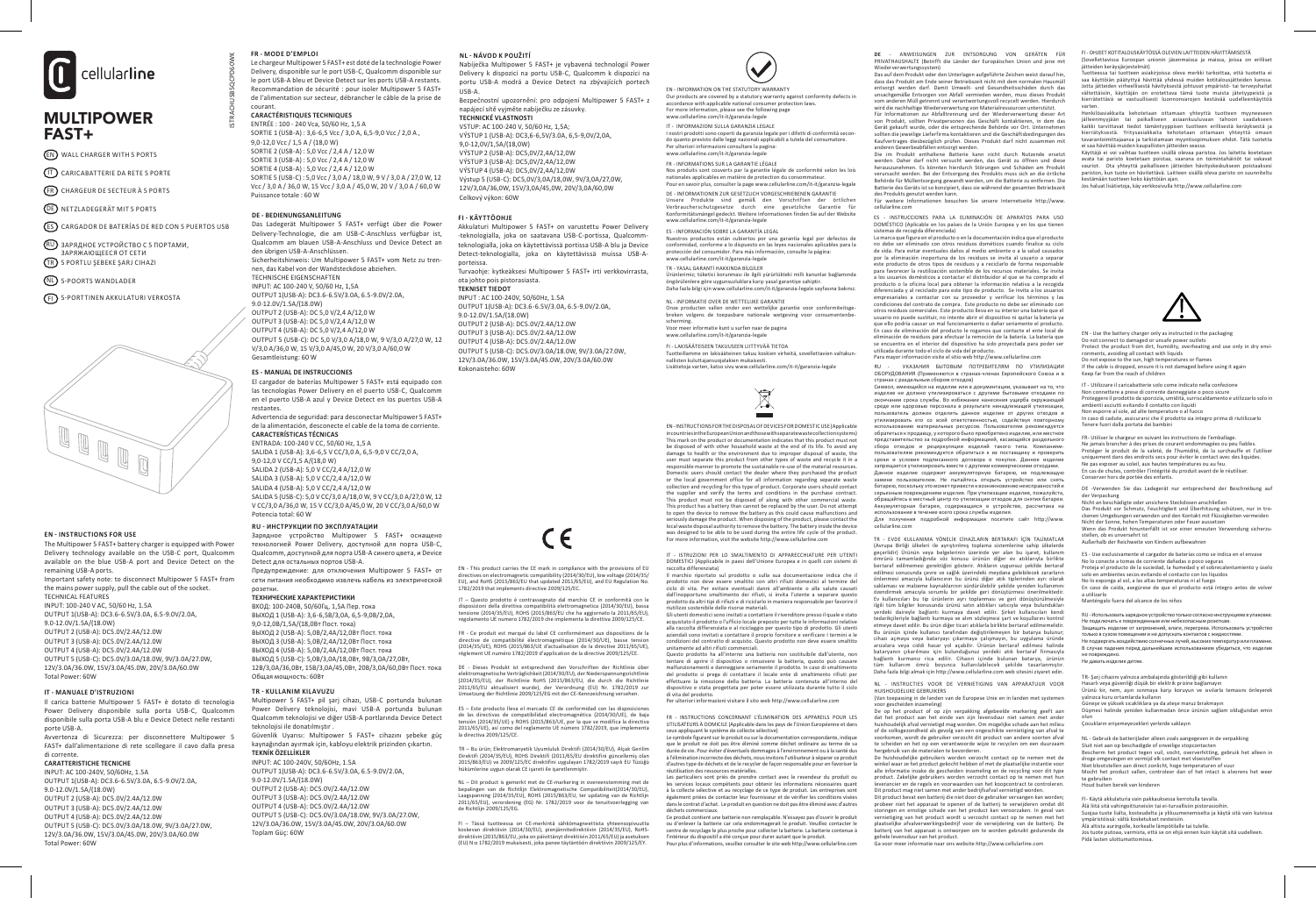

# MULTIPOWER FAST+

- EN WALL CHARGER WITH 5 PORTS
- IT CARICABATTERIE DA RETE 5 PORTE
- $(FR)$  CHARGEUR DE SECTEUR À 5 PORTS
- 
- ES CARGADOR DE BATERÍAS DE RED CON 5 PUERTOS USB
- RU) ЗАРЯДНОЕ УСТРОЙСТВО С 5 ПОРТАМИ, ЗАРЯЖАЮЩЕЕСЯ ОТ СЕТИ
- TR 5 PORTLU ŞEBEKE ŞARJ CIHAZI
- NL 5-POORTS WANDLADER
- FI 5-PORTTINEN AKKULATURI VERKOSTA



The Multipower 5 FAST+ battery charger is equipped with Power Delivery technology available on the USB-C port, Qualcomm available on the blue USB-A port and Device Detect on the remaining USB-A ports. Important safety note: to disconnect Multipower 5 FAST+ from

the mains power supply, pull the cable out of the socket. TECHNICAL FEATURES INPUT: 100-240 V AC, 50/60 Hz, 1.5A

OUTPUT 1(USB-A): DC3.6-6.5V/3.0A, 6.5-9.0V/2.0A, 9.0-12.0V/1.5A/(18.0W) OUTPUT 2 (USB-A): DC5.0V/2.4A/12.0W OUTPUT 3 (USB-A): DC5.0V/2.4A/12.0W OUTPUT 4 (USB-A): DC5.0V/2.4A/12.0W OUTPUT 5 (USB-C): DC5.0V/3.0A/18.0W, 9V/3.0A/27.0W, 12V/3.0A/36.0W, 15V/3.0A/45.0W, 20V/3.0A/60.0W Total Power: 60W

### **IT - MANUALE D'ISTRUZIONI**

Il carica batterie Multipower 5 FAST+ è dotato di tecnologia Power Delivery disponibile sulla porta USB-C, Qualcomm disponibile sulla porta USB-A blu e Device Detect nelle restanti porte USB-A. Avvertenza di Sicurezza: per disconnettere Multipower 5

FAST+ dall'alimentazione di rete scollegare il cavo dalla presa di corrente.

### **CARATTERISTICHE TECNICHE**

INPUT: AC 100-240V, 50/60Hz, 1.5A OUTPUT 1(USB-A): DC3.6-6.5V/3.0A, 6.5-9.0V/2.0A, 9.0-12.0V/1.5A/(18.0W) OUTPUT 2 (USB-A): DC5.0V/2.4A/12.0W OUTPUT 3 (USB-A): DC5.0V/2.4A/12.0W OUTPUT 4 (USB-A): DC5.0V/2.4A/12.0W OUTPUT 5 (USB-C): DC5.0V/3.0A/18.0W, 9V/3.0A/27.0W, 12V/3.0A/36.0W, 15V/3.0A/45.0W, 20V/3.0A/60.0W Total Power: 60W

### **FR - MODE D'EMPLOI**

ISTRACHUSB5QCPD60WK

Le chargeur Multipower 5 FAST+ est doté de la technologie Power Delivery, disponible sur le port USB-C, Qualcomm disponible sur le port USB-A bleu et Device Detect sur les ports USB-A restants. Recommandation de sécurité : pour isoler Multipower 5 FAST+ de l'alimentation sur secteur, débrancher le câble de la prise de courant.

## **CARACTÉRISTIQUES TECHNIQUES**

ENTRÉE : 100 - 240 Vca, 50/60 Hz, 1,5 A SORTIE 1 (USB-A) : 3,6-6,5 Vcc / 3,0 A, 6,5-9,0 Vcc / 2,0 A, 9,0-12,0 Vcc / 1,5 A / (18,0 W) SORTIE 2 (USB-A) : 5,0 Vcc / 2,4 A / 12,0 W SORTIE 3 (USB- $\Delta$ ) : 5,0 Vcc / 2,4  $\Delta$  / 12,0 W SORTIE 4 (USB-A)  $\cdot$  5,0 Vcc / 2,4 A / 12,0 W SORTIE 5 (USB-C) : 5,0 Vcc / 3,0 A / 18,0 W, 9 V / 3,0 A / 27,0 W, 12 Vcc / 3,0 A / 36,0 W, 15 Vcc / 3,0 A / 45,0 W, 20 V / 3,0 A / 60,0 W

### **DE - BEDIENUNGSANLEITUNG**

Das Ladegerät Multipower 5 FAST+ verfügt über die Power Delivery-Technologie, die am USB-C-Anschluss verfügbar ist, Qualcomm am blauen USB-A-Anschluss und Device Detect an den übrigen USB-A-Anschlüssen. Sicherheitshinweis: Um Multinower 5 FAST+ vom Netz zu trennen, das Kabel von der Wandsteckdose abziehen. TECHNISCHE EIGENSCHAFTEN INPUT: AC 100-240 V, 50/60 Hz, 1,5A OUTPUT 1(USB-A): DC3.6-6.5V/3.0A, 6.5-9.0V/2.0A, 9.0-12.0V/1.5A/(18.0W)  $O(117P117.2 / 115B_4A)$ :  $DCE(0.1/2,4A/12,0.0M)$ OUTPUT 3 (USB-A): DC 5,0 V/2,4 A/12,0 W OUTPUT 4 (USB-A): DC 5,0 V/2,4 A/12,0 W OUTPUT 5 (USB-C): DC 5,0 V/3,0 A/18,0 W, 9 V/3,0 A/27,0 W, 12 V/3,0 A/36,0 W, 15 V/3,0 A/45,0 W, 20 V/3,0 A/60,0 W

### **ES - MANUAL DE INSTRUCCIONES**

El cargador de baterías Multipower 5 FAST+ está equipado con las tecnologías Power Delivery en el puerto USB-C, Qualcomm en el puerto USB-A azul y Device Detect en los puertos USB-A restantes.

Advertencia de seguridad: para desconectar Multipower 5 FAST+ de la alimentación, desconecte el cable de la toma de corriente. **CARACTERÍSTICAS TÉCNICAS**

### ENTRADA: 100-240 V CC, 50/60 Hz, 1,5 A

Gesamtleistung: 60 W

SALIDA 1 (USB-A): 3,6-6,5 V CC/3,0 A, 6,5-9,0 V CC/2,0 A, 9,0-12,0 V CC/1,5 A/(18,0 W) SALIDA 2 (USB-A): 5,0 V CC/2,4 A/12,0 W SALIDA 3 (USB-A): 5,0 V CC/2,4 A/12,0 W SALIDA 4 (USB-A): 5,0 V CC/2,4 A/12,0 W SALIDA 5 (USB-C): 5,0 V CC/3,0 A/18,0 W, 9 V CC/3,0 A/27,0 W, 12 V CC/3,0 A/36,0 W, 15 V CC/3,0 A/45,0 W, 20 V CC/3,0 A/60,0 W Potencia total: 60 W

For more information, visit the website http://www.cellularline.com **EN - INSTRUCTIONS FOR USE** Зарядное устройство Multipower 5 FAST+ оснащено технологией Power Delivery, доступной для порта USB-C, Qualcomm, доступной для порта USB-A синего цвета, и Device Detect для остальных портов USB-A. Предупреждение: для отключения Multipower 5 FAST+ от сети питания необходимо извлечь кабель из электрической розетки.

### **ТЕХНИЧЕСКИЕ ХАРАКТЕРИСТИКИ**

ВХОД: 100-240В, 50/60Гц, 1,5А Пер. тока ВЫХОД 1 (USB-А): 3,6-6,5В/3,0A, 6,5-9,0В/2,0A, 9,0-12,0В/1,5A/(18,0Вт Пост. тока)  $B<sub>1</sub>$  (USB- $\Delta$ ): 5,0B/2,4 $\Delta$ /12,0Bт Пост. тока  $B<sub>H</sub> (N) (N + 3)$  (USB-Δ): 5,0B/2,4Δ/12,0Bτ Пост. тока ВЫХОД 4 (USB- $\Delta$ ): 5,0В/2,4 $\Delta$ /12,0Вт Пост. тока ВЫХОД 5 (USB-C): 5,0В/3,0A/18,0Вт, 9В/3,0A/27,0Вт, 12Β/3,0A/36,0Bτ,15Β/3,0A/45,0Bτ,20Β/3,0A/60,0Bτ,Πορτ, τοκa Общая мощность: 60Вт

### **TR - KULLANIM KILAVUZU**

Multipower 5 FAST+ pil şarj cihazı, USB-C portunda bulunan Power Delivery teknolojisi, mavi USB-A portunda bulunan Qualcomm teknolojisi ve diğer USB-A portlarında Device Detect teknolojisi ile donatılmıştır . Güvenlik Uyarısı: Multipower 5 FAST+ cihazını şebeke güç kaynağından ayırmak için, kabloyu elektrik prizinden çıkartın.

### **TEKNİK ÖZELLİKLER**

INPUT: AC 100-240V, 50/60Hz, 1.5A OUTPUT 1(USB-A): DC3.6-6.5V/3.0A, 6.5-9.0V/2.0A, 9.0-12.0V/1.5A/(18.0W) OUTPUT 2 (USB-A): DC5.0V/2.4A/12.0W OUTPUT 3 (USB-A): DC5.0V/2.4A/12.0W OUTPUT 4 (USB-A): DC5.0V/2.4A/12.0W OUTPUT 5 (USB-C): DC5.0V/3.0A/18.0W, 9V/3.0A/27.0W, 12V/3.0A/36.0W, 15V/3.0A/45.0W, 20V/3.0A/60.0W Toplam Güç: 60W

### **NL - NÁVOD K POUŽITÍ**

Nabíječka Multipower 5 FAST+ je vybavená technologií Power Delivery k dispozici na portu USB-C, Qualcomm k dispozici na portu USB-A modrá a Device Detect na zbývajících portech

Bezpečnostní upozornění: pro odpojení Multipower 5 FAST+ z napájecí sítě vyjměte nabíječku ze zásuvky.

### **TECHNICKÉ VLASTNOSTI**

VSTUP: AC 100-240 V, 50/60 Hz, 1,5A; VÝSTUP 1 (USB-A): DC3,6-6,5V/3.0A, 6,5-9,0V/2,0A, 9,0-12,0V/1,5A/(18,0W) VÝSTUP 2 (USB-A): DC5,0V/2,4A/12,0W VÝSTUP 3 (USB-A): DC5,0V/2,4A/12,0W VÝSTUP 4 (USB-A): DC5,0V/2,4A/12,0W Výstup 5 (USB-C): DC5,0V/3,0A/18,0W, 9V/3,0A/27,0W, 12V/3,0A/36,0W, 15V/3,0A/45,0W, 20V/3,0A/60,0W Celkový výkon: 60W

### **FI - KÄYTTÖOHJE**

 $IISB-A$ 

Akkulaturi Multipower 5 FAST+ on varustettu Power Delivery -teknologialla, joka on saatavana USB-C-portissa, Qualcommteknologialla, joka on käytettävissä portissa USB-A blu ja Device Detect-teknologialla, joka on käytettävissä muissa USB-Aporteissa. Turvaohje: kytkeäksesi Multipower 5 FAST+ irti verkkovirrasta, ota johto pois pistorasiasta. **TEKNISET TIEDOT** INPUT : AC 100-240V, 50/60Hz, 1.5A OUTPUT 1(USB-A): DC3.6-6.5V/3.0A, 6.5-9.0V/2.0A, 9.0-12.0V/1.5A/(18.0W) OUTPUT 2 (USB-A): DC5.0V/2.4A/12.0W OUTPUT 3 (USB-A): DC5.0V/2.4A/12.0W OUTPUT 4 (USB-A): DC5.0V/2.4A/12.0W OUTPUT 5 (USB-C): DC5.0V/3.0A/18.0W, 9V/3.0A/27.0W, 12V/3.0A/36.0W, 15V/3.0A/45.0W, 20V/3.0A/60.0W Kokonaisteho: 60W

EN - This product carries the CE mark in compliance with the provisions of EU directives on electromagnetic compatibility (2014/30/EU), low voltage (2014/35/ EU), and RoHS (2015/863/EU that updated 2011/65/EU), and EU Regulation No. 1782/2019 that implements directive 2009/125/EC.

IT – Questo prodotto è contrassegnato dal marchio CE in conformità con le disposizioni della direttiva compatibilità elettromagnetica (2014/30/EU), bassa<br>tensione (2014/35/EU), ROHS (2015/863/EU che ha aggiornato la 2011/65/EU),<br>regolamento UE numero 1782/2019 che implementa la direttiva 2009/12

FR - Ce produit est marqué du label CE conformément aux dispositions de la directive de compatibilité électromagnétique (2014/30/UE), basse tension (2014/35/UE), ROHS (2015/863/UE d'actualisation de la directive 2011/65/UE), règlement UE numéro 1782/2019 d'application de la directive 2009/125/CE.

DE - Dieses Produkt ist entsprechend den Vorschriften der Richtlinie über elektromagnetische Verträglichkeit (2014/30/EU), der Niederspannungsrichtlinie (2014/35/EU), der Richtlinie RoHS (2015/863/EU, die durch die Richtlinie<br>2011/65/EU aktualisiert wurde), der Verordnung (EU) Nr. 1782/2019 zur<br>Umsetzung der Richtlinie 2009/125/EG mit der CE-Kennzeichnung versehen.

ES – Este producto lleva el marcado CE de conformidad con las disposiciones de las directivas de compatibilidad electromagnética (2014/30/UE), de baja tensión (2014/35/UE) y ROHS (2015/863/UE, por la que se modifica la directiva 2011/65/UE), así como del reglamento UE número 1782/2019, que implementa la directiva 2009/125/CE.

TR – Bu ürün; Elektromanyetik Uyumluluk Direktifi (2014/30/EU), Alçak Gerilim Direktifi (2014/35/EU), ROHS Direktifi (2011/65/EU direktifini güncellemiş olan 2015/863/EU) ve 2009/125/EC direktifini uygulayan 1782/2019 sayılı EU Tüzüğü hükümlerine uygun olarak CE işareti ile işaretlenmiştir.

NL – Dit product is gemerkt met de CE-markering in overeenstemming met de<br>bepalingen van de Richtlijn Elektromagnetische Compatibiliteit(2014/30/EU),<br>Laagspanning (2014/35/EU), ROHS (2015/863/EU, ter updating van de Richtl de Richtlijn 2009/125/EG.

FI – Tässä tuotteessa on CE-merkintä sähkömagneettista yhteensopivuutta koskevan direktiivin (2014/30/EU), pienjännitedirektiivin (2014/35/EU), RoHSdirektiivin (2015/863/EU, joka on päivittänyt direktiivin 2011/65/EU) ja asetuksen (EU) N:o 1782/2019 mukaisesti, joka panee täytäntöön direktiivin 2009/125/EY.



EN - INFORMATION ON THE STATUTORY WARRANTY Our products are covered by a statutory warranty against conformity defects in accordance with applicable national consumer protection laws. For more information, please see the following page

www.cellularline.com/it-it/garanzia-legale IT - INFORMAZIONI SULLA GARANZIA LEGALE I nostri prodotti sono coperti da garanzia legale per i difetti di conformità secon-

do quanto previsto dalle leggi nazionali applicabili a tutela del consumatore.<br>Per ulteriori informazioni consultare la pagina:<br>www.cellularline.com/it-it/garanzia-legale

FR - INFORMATIONS SUR LA GARANTIE LÉGALE Nos produits sont couverts par la garantie légale de conformité selon les lois

nationales applicables en matière de protection du consommateur. Pour en savoir plus, consulter la page www.cellularline.com/it-it/garanzia-legale DE - INFORMATIONEN ZUR GESETZLICH VORGESCHRIEBENEN GARANTIE<br>Unsere Produkte sind gemäß den Vorschriften der örtlichen<br>Verbraucherschutzgesetze durch eine gesetzliche Garantie für

DE) NETZLADEGERÄT MIT 5 PORTS surface that the cellularline.com cellularline.com versus versus versus versus versus versus versus versus versus versus versus versus versus versus versus versus versus versus versus versus v Konformitätsmängel gedeckt. Weitere Informationen finden Sie auf der Website www.cellularline.com/it-it/garanzia-legale

### ES - INFORMACIÓN SOBRE LA GARANTÍA LEGAL

Nuestros productos están cubiertos por una garantía legal por defectos de conformidad, conforme a lo dispuesto en las leyes nacionales aplicables para la protección del consumidor. Para más información, consulte la página: www.cellularline.com/it-it/garanzia-legale TR - YASAL GARANTİ HAKKINDA BİLGİLER Ürünlerimiz; tüketici korunması ile ilgili yürürlükteki milli kanunlar bağlamında öngörülenlere göre uygunsuzluklara karşı yasal garantiye sahiptir. Daha fazla bilgi için www.cellularline.com/it-it/garanzia-legale sayfasına bakınız.

NL - INFORMATIE OVER DE WETTELIJKE GARANTIE Onze producten vallen onder een wettelijke garantie voor conformiteits breken volgens de toepasbare nationale wetgeving voor consumentenbe-

scherming. Voor meer informatie kunt u surfen naar de pagina www.cellularline.com/it-it/garanzia-legale

FI - LAKISÄÄTEISEEN TAKUUSEEN LIITTYVÄÄ TIETOA Tuotteillamme on lakisääteinen takuu koskien virheitä, sovellettavien valtakunnallisten kuluttajansuojalakien mukaisesti. Lisätietoja varten, katso sivu www.cellularline.com/it-it/garanzia-legale

# $\boxtimes$

EN - INSTRUCTIONS FOR THE DISPOSAL OF DEVICES FOR DOMESTIC USE (Applicable in countries in the European Union and those with separate waste collection systems) This mark on the product or documentation indicates that this product must not be disposed of with other household waste at the end of its life. To avoid any damage to health or the environment due to improper disposal of waste, the user must separate this product from other types of waste and recycle it in a<br>responsible manner to promote the sustainable re-use of the material resources.<br>Domestic users should contact the dealer where they purchased th or the local government office for all information regarding separate waste collection and recycling for this type of product. Corporate users should contact<br>the supplier and verify the terms and conditions in the purchase contract.<br>This product must not be disposed of along with other commercial This product has a battery than cannot be replaced by the user. Do not attempt to open the device to remove the battery as this could cause malfunctions and seriously damage the product. When disposing of the product, please contact the and particle and particle and<br>Note that the product of the product of the contact the contact cellularline.com<br>Announce in the set of the con

> IT - ISTRUZIONI PER LO SMALTIMENTO DI APPARECCHIATURE PER UTENTI DOMESTICI (Applicabile in paesi dell'Unione Europea e in quelli con sistemi di raccolta differenziata) Il marchio riportato sul prodotto o sulla sua documentazione indica che il

> prodotto non deve essere smaltito con altri rifiuti domestici al termine del ciclo di vita. Per evitare eventuali danni all'ambiente o alla salute causati ciclo di vita. Per evitare eventuali danni all'ambiente o alla salute causati<br>dall'inopportuno smaltimento dei rifiuti, si invita l'utente a separare questo<br>prodotto da altri tipi dirifiuti e diriciclarlo in maniera respon riutilizzo sostenibile delle risorse materiali.

> Gli utenti domestici sono invitati a contattare il rivenditore presso il quale e stato acquistato il prodotto o l'ufficio locale preposto per tutte le informazioni relative<br>alla raccolta differenziata e al riciclaggio per questo tipo di prodotto. Gli utenti<br>aziendali sono invitati a contattare il proprio for

> condizioni del contratto di acquisto. Questo prodotto non deve essere smaltito unitamente ad altri rifiuti commerciali. Questo prodotto ha all'interno una batteria non sostituibile dall'utente, non<br>tentare di aprire il dispositivo o rimuovere la batteria, questo può causare<br>malfunzionamenti e danneggiare seriamente il prodotto. In caso di s

del prodotto si prega di contattare il locale ente di smaltimento rifiuti per effettuare la rimozione della batteria. La batteria contenuta all'interno dell'interno dell'interno della dispositivo e stata progettata per poter essere utilizzata durante tutto il ciclo di vita del prodotto.

Per ulteriori informazioni visitare il sito web http://www.cellularline.com

FR - INSTRUCTIONS CONCERNANT L'ÉLIMINATION DES APPAREILS POUR LES<br>UTILISATEURS À DOMICILE (Applicable dans les pays de l'Union Européenne et dans<br>ceux appliquant le système de collecte sélective) Le symbole figurant sur le produit ou sur la documentation correspondante, indique

que le produit ne doit pas être éliminé comme déchet ordinaire au terme de sa<br>durée de vie. Pour éviter d'éventuels dommages à l'environnement ou à la santé dus<br>à l'élimination incorrecte des déchets, nous invitons l'utili d'autres type de déchets et de le recycler de façon responsable pour en favoriser la

réutilisation des ressources matérielles.<br>Les particuliers sont priés de prendre contact avec le revendeur du produit ou<br>les services locaux compétents pour obtenir les informations nécessaires quant<br>à la collecte sélectiv également priées de contacter leur fournisseur et de vérifier les conditions visées dans le contrat d'achat. Le produit en question ne doit pas être éliminé avec d'autres

déchets commerciaux. Ce produit contient une batterie non remplaçable. N'essayez pas d'ouvrir le produit ou d'enlever la batterie car cela endommagerait le produit. Veuillez contacter le centre de recyclage le plus proche pour collecter la batterie. La batterie contenue à

l'intérieur du dispositif a été conçue pour durer autant que le produit. Pour plus d'informations, veuillez consulter le site web http://www.cellularline.com

**DE** - ANWEISUNGEN ZUR ENTSORGUNG VON GERÄTEN FÜR PRIVATHAUSHALTE (Betrifft die Länder der Europäischen Union und jene mit

Wiederverwertungssystem)<br>Das auf dem Produkt oder den Unterlagen aufgeführte Zeichen weist darauf hin,<br>dass das Produkt am Ende seiner Betriebszeit nicht mit dem normalen Hausmüll<br>entsorgt werden darf. Damit Umwelt- un unsachgemäße Entsorgen von Abfall vermieden werden, muss dieses Produkt vom anderen Müll getrennt und verantwortungsvoll recycelt werden. Hierdurch<br>wird die nachhaltige Wiederverwertung von Materialressourcen unterstützt.<br>Für Informationen zur Abfalltrennung und der Wiederverwertung dieser Art von Produkt, sollten Privatpersonen das Geschäft kontaktieren, in dem das Gerät gekauft wurde, oder die entsprechende Behörde vor Ort. Unternehmen sollten die jeweilige Lieferfirma kontaktieren und die Geschäftsbedingungen des Kaufvertrages diesbezüglich prüfen. Dieses Produkt darf nicht zusammen mit anderen Gewerbeabfällen entsorgt werden.

Die im Produkt enthaltene Batterie kann nicht durch Nutzende ersetzt werden. Daher darf nicht versucht werden, das Gerät zu öffnen und diese<br>herauszunehmen. Es könnten hierdurch Störungen und Schäden am Produkt<br>verursacht werden. Bei der Entsorgung des Produkts muss sich an die örtliche Behörde für Müllentsorgung gewandt werden, um die Batterie zu entfernen. Die Batterie des Geräts ist so konzipiert, dass sie während der gesamten Betriebszeit des Produkts genutzt werden kann. Für weitere Informationen besuchen Sie unsere Internetseite http://www.

ES - INSTRUCCIONES PARA LA ELIMINACIÓN DE APARATOS PARA USO DOMÉSTICO (Aplicable en los países de la Unión Europea y en los que tienen sistemas de recogida diferenciada)

La marca que figura en el producto o en la documentación indica que el producto no debe ser eliminado con otros residuos dométicos cuando finalice su ciclo<br>de vida. Para evitar eventuales daños al medio ambiente o a la salud causados<br>por la eliminación inoportuna de los residuos se invita al usuario a este producto de otros tipos de residuos y a reciclarlo de forma responsable para favorecer la reutilización sostenible de los recursos materiales. Se invita a los usuarios domésticos a contactar el distribuidor al que se ha comprado el producto o la oficina local para obtener la información relativa a la recogida diferenciada y al reciclado para este tipo de producto. Se invita a los usuarios empresariales a contactar con su proveedor y verificar los términos y las condiciones del contrato de compra. Este producto no debe ser eliminado con<br>otros residuos comerciales. Este producto lleva en su interior una batería que el<br>usuario no puede sustituir, no intente abrir el dispositivo ni q que ello podría causar un mal funcionamiento o dañar seriamente el producto. En caso de eliminación del producto le rogamos que contacte el ente local de eliminación de residuos para efectuar la remoción de la batería. La batería que se encuentra en el interior del dispositivo ha sido proyectada para poder ser utilizada durante todo el ciclo de vida del producto. Para mayor información visite el sitio web http://www.cellularline.com

RU - УКАЗАНИЯ БЫТОВЫМ ПОТРЕБИТЕЛЯМ ПО УТИЛИЗАЦИИ ОБОРУДОВАНИЯ (Применяются в странах-членах Европейского Союза и в странах с раздельным сбором отходов)

Символ, имеющийся на изделии или в документации, указывает на то, что изделие не должно утилизироваться с другими бытовыми отходами по<br>окончании срока службы. Во избежание нанесения ущерба окружающей<br>среде или здоровью персонала в результате ненадлежащей утилизации<br>пользователь должен отдел утилизировать его со всей ответственностью, содействуя повторному использованию материальных ресурсов. Пользователям рекомендуется обратиться к продавцу, у которого было приобретено изделие, или местное представительство за подробной информацией, касающейся раздельного сбора отходов и рециркуляции изделий такого типа. Компаниям пользователям рекомендуется обратиться к их поставщику и проверить сроки и условия подписанного договора о покупке. Данное изделие<br>запрещается утилизировать вместе сдругими коммерческими отходами.<br>Данное изделие содержит аккумуляторную батарею, не подлежащую<br>замене пользователем. Не пыта батарею, поскольку это может привести к возникновению неисправностей и<br>серьезным повреждениям изделия. При утилизации изделия, пожалуйста,<br>обращайтесь в местный центр по утилизации отходов для снятия батареи.<br>Аккумуляторн использование в течение всего срока службы изделия. Для получения подробной информации посетите сайт http://www.

TR - EVDE KULLANIMA YÖNELİK CİHAZLARIN BERTARAFI İÇİN TALİMATLAR (Avrupa Birliği ülkeleri ile ayrıştırılmış toplama sistemlerine sahip ülkelerde<br>geçerlidir) Ürünün veya belgelerinin üzerinde yer alan bu işaret, kullanım<br>ömrünü tamamladığında söz konusu ürünün diğer ev atıklarıyla birlik bertaraf edilmemesi gerektiğini gösterir. Atıkların uygunsuz şekilde bertaraf edilmesi sonucunda çevre ve sağlık üzerindeki meydana gelebilecek zararların önlenmesi amacıyla kullanıcının bu ürünü diğer atık tiplerinden ayrı olarak<br>saklaması ve malzeme kaynaklarının sürdürülebilir şekilde yeniden kullanımını<br>özendirmek amacıyla sorumlu bir şekilde geri dönüştürmesi önerilmekt ilgili tüm bilgiler konusunda ürünü satın aldıkları satıcıyla veya bulundukla yerdeki daireyle bağlantı kurmaya davet edilir. Şirket kullanıcıları kendi<br>tedarikçileriyle bağlantı kurmaya ve alım sözleşmesi şart ve koşullarını kontrol<br>etmeye'davet edilir. Bu ürün diğer ticari atıklarla birlikte berta Bu ürünün içinde kullanıcı tarafından değiştirilemeyen bir batarya bulunur; cihazı açmaya veya bataryayı çıkarmaya çalışmayın, bu uygulama üründe<br>arızalara veya ciddi hasar yol açabilir. Ürünün bertaraf edilmesi halinde<br>bataryanın çıkarılması için bulunduğunuz yerdeki atık bertaraf firmasıyla<br>bağl tüm kullanım ömrü boyunca kullanılabilecek şekilde tasarlanmıştı Daha fazla bilgi almak için http://www.cellularline.com web sitesini ziyaret edin. NL - INSTRUCTIES VOOR DE VERNIETIGING VAN APPARATUUR VOOR

HUISHOUDELIJKE GEBRUIKERS (Van toepassing in de landen van de Europese Unie en in landen met systemen

voor gescheiden inzameling)<br>De op het product of op zijn verpakking afgebeelde markering geeft aan<br>dat het product aan het einde van zijn levensduur niet samen met ander<br>huishoudelijk afval vernietigd mag worden. Om mogeli of de volksgezondheid als gevolg van een ongeschikte vernietiging van afval te voorkomen, wordt de gebruiker verzocht dit product van andere soorten afval te scheiden en het op een verantwoorde wijze te recyclen om een duurzaam hergebruik van de materialen te bevorderen. De huishoudelijke gebruikers worden verzocht contact op te nemen met de

winkel waar ze het product gekocht hebben of met de plaatselijke instantie voor alle informatie inzake de gescheiden inzameling en de recycling voor dit type<br>product. Zakelijke gebruikers worden verzocht contact op te nemen met hun<br>leverancier en de regels en voorwaarden van het koopcontract te contro

Dit product bevat een batterij die niet door de gebruiker vervangen kan worden; probeer niet het apparaat te openen of de batterij te verwijderen omdat dit<br>storingen en ernstige schade van het product kan veroorzaken. In geval van<br>vernietiging van het product wordt u verzocht contact op te nemen met h plaatselijke afvalverwerkingsbedrijf voor de verwijdering van de batterij. De batterij van het apparaat is ontworpen om te worden gebruikt gedurende de

gehele levensduur van het product. Ga voor meer informatie naar ons website http://www.cellularline.com

FI - OHJEET KOTITALOUSKÄYTÖSSÄ OLEVIEN LAITTEIDEN HÄVITTÄMISESTÄ (Sovellettavissa Euroopan unionin jäsenmaissa ja maissa, joissa on erilliset jätteiden keräysjärjestelmät)

Tuotteessa tai tuotteen asiakirjoissa oleva merkki tarkoittaa, että tuotetta ei saa käyttöiän päätyttyä hävittää yhdessä muiden kotitalousjätteiden kanssa.<br>Jotta jätteiden virheellisestä hävityksestä johtuvat ympäristö- tai terveyshaitat<br>vältettäisiin, käyttäjän on erotettava tämä tuote muista jätetyy kierrätettävä se vastuullisesti luonnonvarojen kestävää uudelleenkäyttöä

varten.<br>jälleenmyyjään tai paikalliseen asiaankuuluvaan tahoon saadakseen<br>jälleenmyyjään tai paikalliseen asiaankuuluvaan tahoon saadakseen<br>kaikki tarvittavat tiedot tämäntyypisen tuotteen erillisestä keräyksestä ja<br>kierrä tavarantoimittajaansa ja tarkistamaan myyntisopimuksen ehdot. Tätä tuotetta<br>ei saa hävittää muiden kaupallisten jätteiden seassa.<br>Käyttäjä ei voi vaihtaa tuotteen sisällä olevaa paristoa. Jos laitetta koetetaan

avata tai paristo koetetaan poistaa, vaarana on toimintahäiriöt tai vakavat vauriot. Ota yhteyttä paikalliseen jätteiden hävityskeskukseen poistaaksesi pariston, kun tuote on hävitettävä. Laitteen sisällä oleva paristo on suunniteltu kestämään tuotteen koko käyttöiän ajan. Jos haluat lisätietoja, käy verkkosivulla http://www.cellularline.com

EN - Use the battery charger only as instructed in the packaging Do not connect to damaged or unsafe power outlets Protect the product from dirt, humidity, overheating and use only in dry envi-

IT - Utilizzare il caricabatterie solo come indicato nella confezione<br>Non connettere a prese di corrente danneggiate o poco sicure<br>Proteggere il prodotto da sporcizia, umidità, surriscaldamento e utilizzarlo solo in<br>ambien

DE -Verwenden Sie das Ladegerät nur entsprechend der Beschreibung auf<br>der Verpackung<br>Nicht an beschädigte oder unsichere Steckdosen anschließen<br>Das Produkt vor Schmutz, Feuchtigkeit und Überhitzung schützen, nur in tro-<br>ck Wenn das Produkt hinunterfällt ist vor einer erneuten Verwendung sicherzu-

ES - Use exclusivamente el cargador de baterías como se indica en el envase No lo conecte a tomas de corriente dañadas o poco seguras<br>Proteja el producto de la suciedad, la humedad y el sobrecalentamiento y úselo<br>solo en ambientes secos evitando el contacto con los líquidos

RU - Использовать зарядное устройство только согласно инструкциям в упаковке. Не подключать к поврежденным или небезопасным розеткам.<br>Защищать изделие от загрязнений, влаги, перегрева. Использовать устройство<br>только в сухом помещении и не допускать контактов с жидкостями. Не подвергать воздействию солнечных лучей, высоких температур или пламени. В случае падения перед дальнейшим использованием убедиться, что изделие

Ürünü kir, nem, aşırı ısınmaya karşı koruyun ve sıvılarla temasını önleyerek<br>yalnızca kuru ortamlarda kullanın<br>Güneşe ve yüksek sıcaklıklara ya da ateşe maruz bırakmayın Düşmesi halinde yeniden kullanmadan önce ürünün sağlam olduğundan emin

Niet blootstellen aan direct zonlicht, hoge temperaturen of vuur Mocht het product vallen, controleer dan of het intact is alvorens het weer

NL - Gebruik de batterijlader alleen zoals aangegeven in de verpakking Sluit niet aan op beschadigde of onveilige stopcontacten Bescherm het product tegen vuil, vocht, oververhitting, gebruik het alleen in

In caso di cadute, assicurarsi che il prodotto sia integro prima di riutilizzarlo Tenere fuori dalla portata dei bambini

FR- Utiliser le chargeur en suivant les instructions de l'emballage. Ne jamais brancher à des prises de courant endommagées ou peu fiables.<br>Protéger le produit de la saleté, de l'humidité, de la surchauffe et l'utiliser<br>uniquement dans des endroits secs pour éviter le contact avec des liqui Ne pas exposer au soleil, aux hautes températures ou au feu. En cas de chutes, contrôler l'intégrité du produit avant de le réutilise

ronments, avoiding all contact with liquids Do not expose to the sun, high temperatures or flames If the cable is dropped, ensure it is not damaged before using it again Keep far from the reach of children

Non esporre al sole, ad alte temperature o al fuoco

stellen, ob es unversehrt ist Außerhalb der Reichweite von Kindern aufbewahren

No lo exponga al sol, a las altas temperaturas ni al fuego En caso de caída, asegúrese de que el producto está íntegro antes de volver

TR- Şarj cihazını yalnızca ambalajında gösterildiği gibi kullanın Hasarlı veya güvenliği düşük bir elektrik prizine bağlamayın

olun Çocukların erişemeyecekleri yerlerde saklayın

droge omgevingen en vermijd elk contact met vloeistoffen

FI- Käytä akkulaturia vain pakkauksessa kerrotulla tavalla. Älä liitä sitä vahingoittuneisiin tai ei-turvallisiin pistorasioihin. Suojaa tuote lialta, kosteudelta ja ylikuumenemiselta ja käytä sitä vain kuivissa

ympäristöissä: vältä kosketukset nesteisiin. Älä altista auringolle, korkealle lämpötilalle tai tulelle. Jos tuote putoaa, varmista, että se on ehjä ennen kuin käytät sitä uudelleen.

Pidä lasten ulottumattomissa.

a utilizarlo Manténgalo fuera del alcance de los niños

не повреждено. Не давать изделие детям.

te gebruiken te gebruiken<br>Houd buiten bereik van kinderen

Conserver hors de portée des enfants.